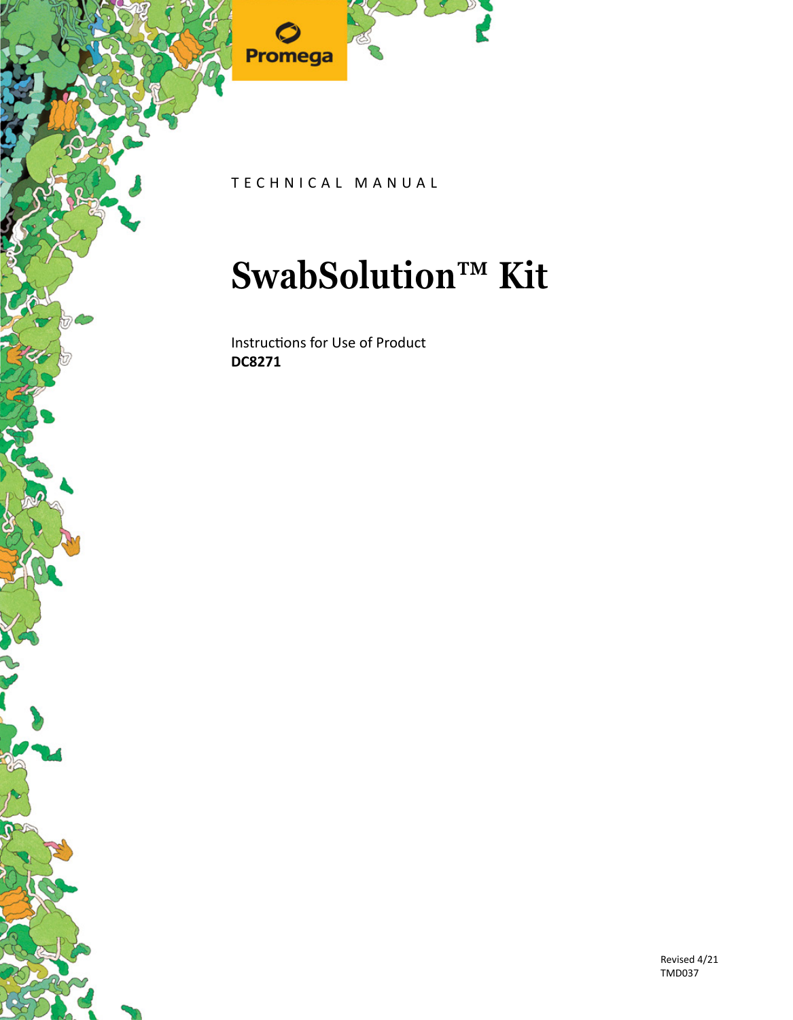

TECHNICAL MANUAL

## **SwabSolution™ Kit**

Instructions for Use of Product **DC8271**

> Revised 4/21 TMD037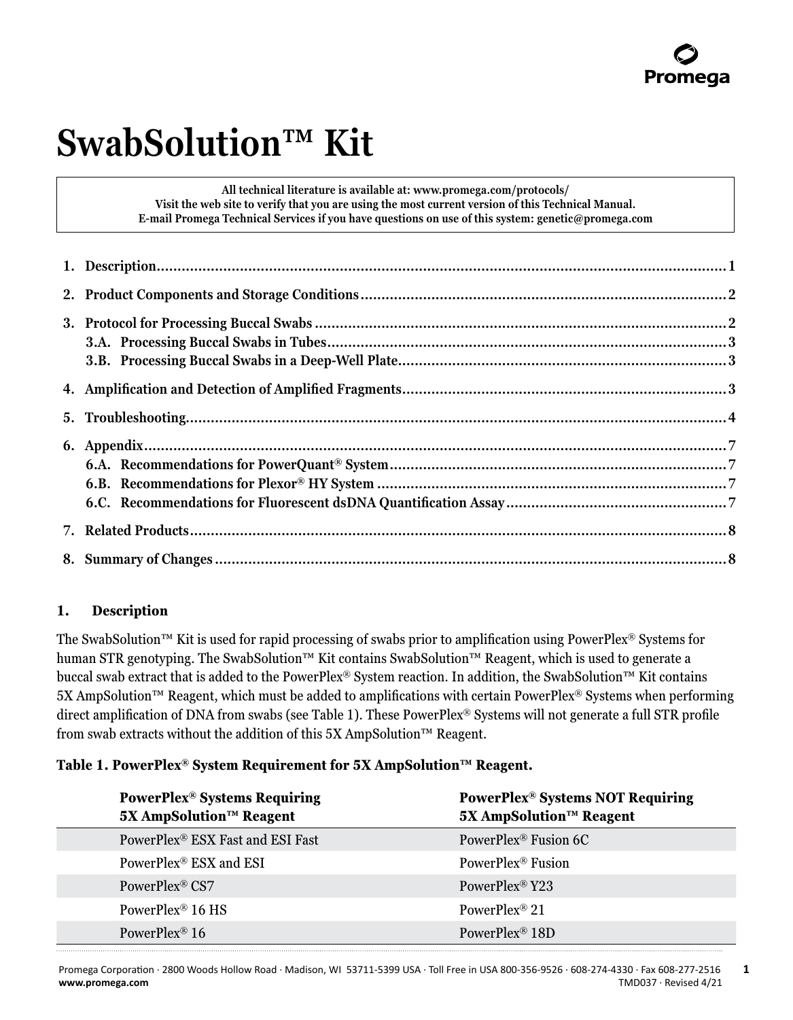## **SwabSolution™ Kit**

**All technical literature is available at: www.promega.com/protocols/ Visit the web site to verify that you are using the most current version of this Technical Manual. E-mail Promega Technical Services if you have questions on use of this system: genetic@promega.com**

## **1. Description**

The SwabSolution™ Kit is used for rapid processing of swabs prior to amplification using PowerPlex® Systems for human STR genotyping. The SwabSolution™ Kit contains SwabSolution™ Reagent, which is used to generate a buccal swab extract that is added to the PowerPlex® System reaction. In addition, the SwabSolution™ Kit contains 5X AmpSolution™ Reagent, which must be added to amplifications with certain PowerPlex® Systems when performing direct amplification of DNA from swabs (see Table 1). These PowerPlex® Systems will not generate a full STR profile from swab extracts without the addition of this 5X AmpSolution™ Reagent.

#### **Table 1. PowerPlex® System Requirement for 5X AmpSolution™ Reagent.**

| <b>PowerPlex<sup>®</sup></b> Systems Requiring<br>5X AmpSolution™ Reagent | <b>PowerPlex® Systems NOT Requiring</b><br>5X AmpSolution™ Reagent |
|---------------------------------------------------------------------------|--------------------------------------------------------------------|
| PowerPlex <sup>®</sup> ESX Fast and ESI Fast                              | PowerPlex <sup>®</sup> Fusion 6C                                   |
| PowerPlex <sup>®</sup> ESX and ESI                                        | PowerPlex <sup>®</sup> Fusion                                      |
| PowerPlex <sup>®</sup> CS7                                                | PowerPlex <sup>®</sup> Y23                                         |
| PowerPlex <sup>®</sup> 16 HS                                              | PowerPlex <sup>®</sup> 21                                          |
| PowerPlex <sup>®</sup> 16                                                 | PowerPlex <sup>®</sup> 18D                                         |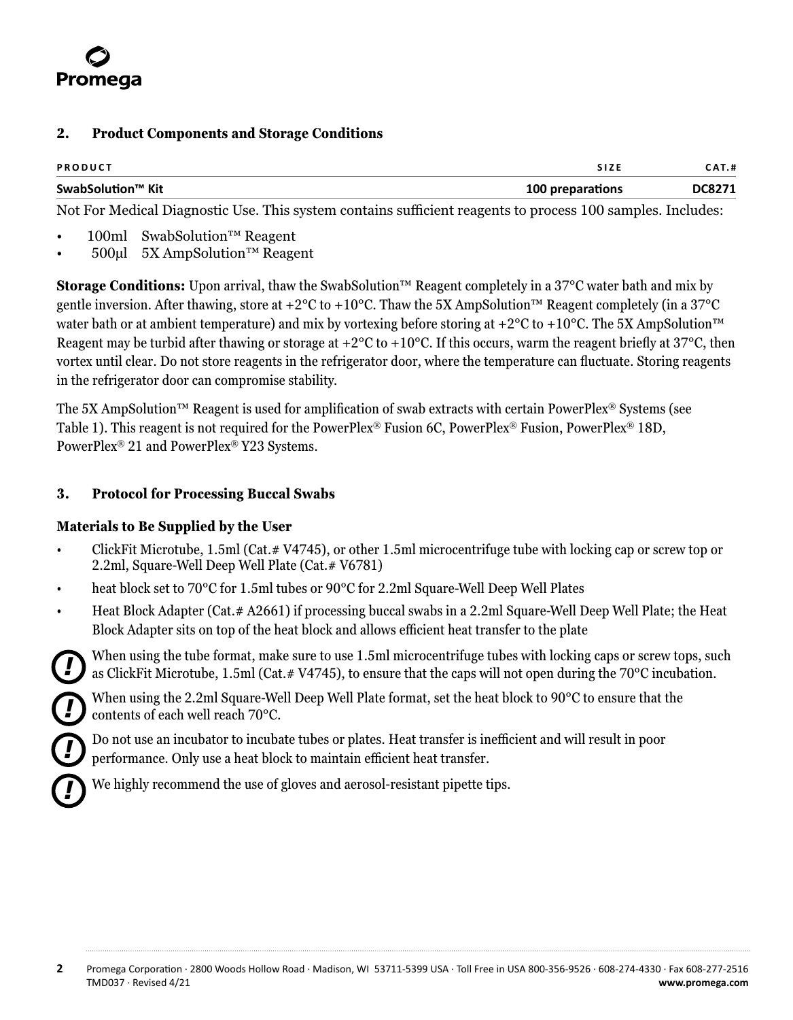<span id="page-2-0"></span>

#### **2. Product Components and Storage Conditions**

| <b>PRODUCT</b>    | <b>SIZE</b>      | <b>CAT.#</b>  |
|-------------------|------------------|---------------|
| SwabSolution™ Kit | 100 preparations | <b>DC8271</b> |

Not For Medical Diagnostic Use. This system contains sufficient reagents to process 100 samples. Includes:

- 100ml SwabSolution™ Reagent
- 500µl 5X AmpSolution™ Reagent

**Storage Conditions:** Upon arrival, thaw the SwabSolution™ Reagent completely in a 37°C water bath and mix by gentle inversion. After thawing, store at +2 $^{\circ}$ C to +10 $^{\circ}$ C. Thaw the 5X AmpSolution™ Reagent completely (in a 37 $^{\circ}$ C water bath or at ambient temperature) and mix by vortexing before storing at +2°C to +10°C. The 5X AmpSolution<sup>™</sup> Reagent may be turbid after thawing or storage at  $+2^{\circ}C$  to  $+10^{\circ}C$ . If this occurs, warm the reagent briefly at 37 $^{\circ}C$ , then vortex until clear. Do not store reagents in the refrigerator door, where the temperature can fluctuate. Storing reagents in the refrigerator door can compromise stability.

The 5X AmpSolution™ Reagent is used for amplification of swab extracts with certain PowerPlex® Systems (see Table 1). This reagent is not required for the PowerPlex® Fusion 6C, PowerPlex® Fusion, PowerPlex® 18D, PowerPlex® 21 and PowerPlex® Y23 Systems.

#### **3. Protocol for Processing Buccal Swabs**

#### **Materials to Be Supplied by the User**

*!*

*!*

*!*

- ClickFit Microtube, 1.5ml (Cat.# V4745), or other 1.5ml microcentrifuge tube with locking cap or screw top or 2.2ml, Square-Well Deep Well Plate (Cat.# V6781)
- heat block set to 70°C for 1.5ml tubes or 90°C for 2.2ml Square-Well Deep Well Plates
- Heat Block Adapter (Cat.# A2661) if processing buccal swabs in a 2.2ml Square-Well Deep Well Plate; the Heat Block Adapter sits on top of the heat block and allows efficient heat transfer to the plate
	- When using the tube format, make sure to use 1.5ml microcentrifuge tubes with locking caps or screw tops, such as ClickFit Microtube, 1.5ml (Cat.# V4745), to ensure that the caps will not open during the 70°C incubation.

When using the 2.2ml Square-Well Deep Well Plate format, set the heat block to 90°C to ensure that the contents of each well reach 70°C.

Do not use an incubator to incubate tubes or plates. Heat transfer is inefficient and will result in poor performance. Only use a heat block to maintain efficient heat transfer.



We highly recommend the use of gloves and aerosol-resistant pipette tips.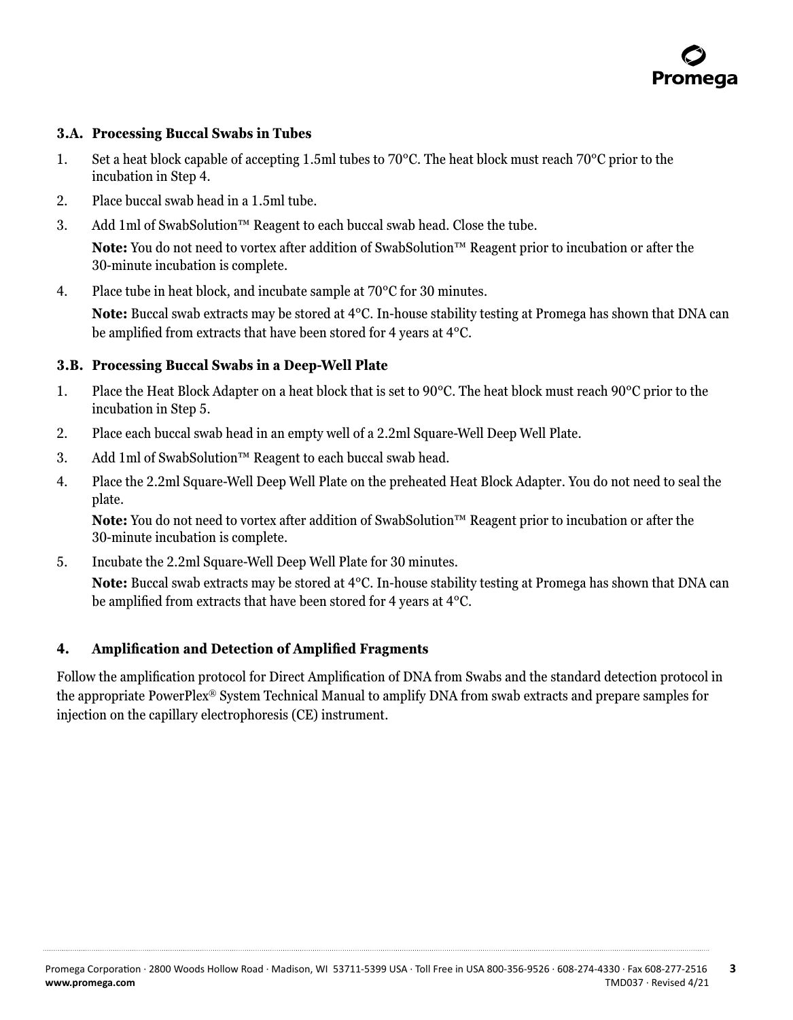

#### <span id="page-3-0"></span>**3.A. Processing Buccal Swabs in Tubes**

- 1. Set a heat block capable of accepting 1.5ml tubes to 70°C. The heat block must reach 70°C prior to the incubation in Step 4.
- 2. Place buccal swab head in a 1.5ml tube.
- 3. Add 1ml of SwabSolution™ Reagent to each buccal swab head. Close the tube.

**Note:** You do not need to vortex after addition of SwabSolution™ Reagent prior to incubation or after the 30-minute incubation is complete.

4. Place tube in heat block, and incubate sample at 70°C for 30 minutes.

**Note:** Buccal swab extracts may be stored at 4°C. In-house stability testing at Promega has shown that DNA can be amplified from extracts that have been stored for 4 years at 4°C.

#### **3.B. Processing Buccal Swabs in a Deep-Well Plate**

- 1. Place the Heat Block Adapter on a heat block that is set to 90°C. The heat block must reach 90°C prior to the incubation in Step 5.
- 2. Place each buccal swab head in an empty well of a 2.2ml Square-Well Deep Well Plate.
- 3. Add 1ml of SwabSolution™ Reagent to each buccal swab head.
- 4. Place the 2.2ml Square-Well Deep Well Plate on the preheated Heat Block Adapter. You do not need to seal the plate.

**Note:** You do not need to vortex after addition of SwabSolution™ Reagent prior to incubation or after the 30-minute incubation is complete.

5. Incubate the 2.2ml Square-Well Deep Well Plate for 30 minutes.

**Note:** Buccal swab extracts may be stored at 4°C. In-house stability testing at Promega has shown that DNA can be amplified from extracts that have been stored for 4 years at 4°C.

#### **4. Amplification and Detection of Amplified Fragments**

Follow the amplification protocol for Direct Amplification of DNA from Swabs and the standard detection protocol in the appropriate PowerPlex® System Technical Manual to amplify DNA from swab extracts and prepare samples for injection on the capillary electrophoresis (CE) instrument.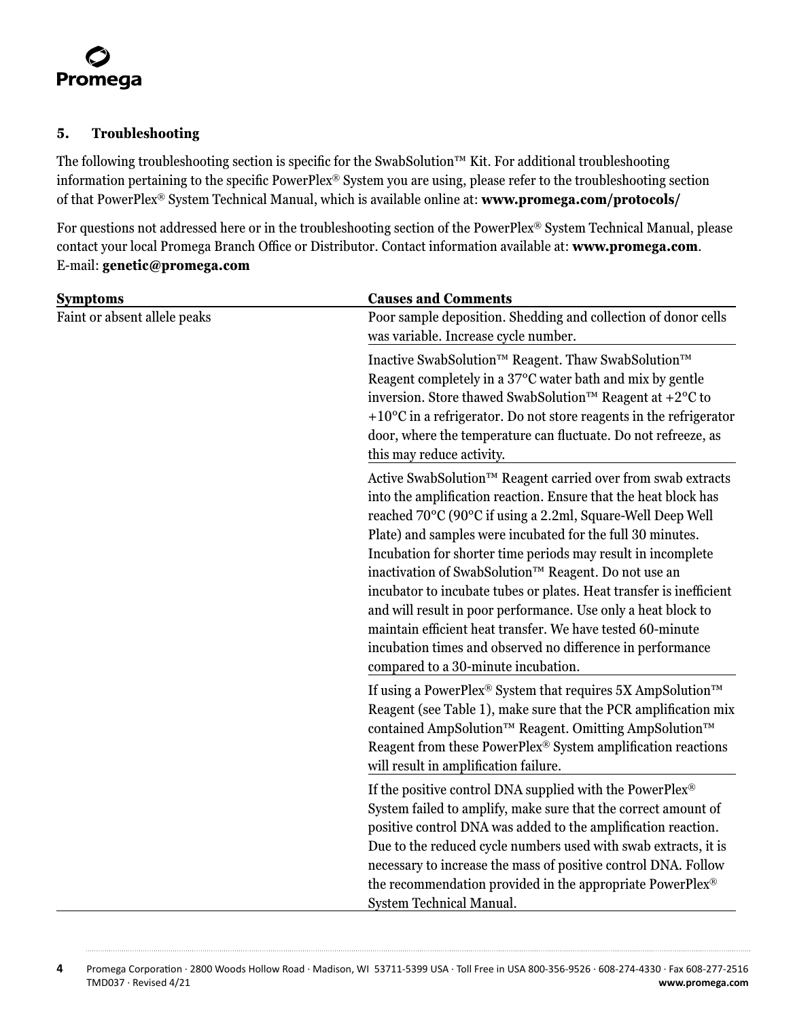#### <span id="page-4-0"></span>**5. Troubleshooting**

The following troubleshooting section is specific for the SwabSolution™ Kit. For additional troubleshooting information pertaining to the specific PowerPlex® System you are using, please refer to the troubleshooting section of that PowerPlex® System Technical Manual, which is available online at: **www.promega.com/protocols/**

For questions not addressed here or in the troubleshooting section of the PowerPlex® System Technical Manual, please contact your local Promega Branch Office or Distributor. Contact information available at: **www.promega.com**. E-mail: **genetic@promega.com**

| <b>Causes and Comments</b>                                                                                                                                                                                                                                                                                                                                                                                                                                                                                                                                                                                                                                                                     |
|------------------------------------------------------------------------------------------------------------------------------------------------------------------------------------------------------------------------------------------------------------------------------------------------------------------------------------------------------------------------------------------------------------------------------------------------------------------------------------------------------------------------------------------------------------------------------------------------------------------------------------------------------------------------------------------------|
| Poor sample deposition. Shedding and collection of donor cells<br>was variable. Increase cycle number.                                                                                                                                                                                                                                                                                                                                                                                                                                                                                                                                                                                         |
| Inactive SwabSolution™ Reagent. Thaw SwabSolution™<br>Reagent completely in a 37°C water bath and mix by gentle<br>inversion. Store thawed SwabSolution <sup>™</sup> Reagent at +2 <sup>o</sup> C to<br>$+10^{\circ}$ C in a refrigerator. Do not store reagents in the refrigerator<br>door, where the temperature can fluctuate. Do not refreeze, as<br>this may reduce activity.                                                                                                                                                                                                                                                                                                            |
| Active SwabSolution™ Reagent carried over from swab extracts<br>into the amplification reaction. Ensure that the heat block has<br>reached 70°C (90°C if using a 2.2ml, Square-Well Deep Well<br>Plate) and samples were incubated for the full 30 minutes.<br>Incubation for shorter time periods may result in incomplete<br>inactivation of SwabSolution™ Reagent. Do not use an<br>incubator to incubate tubes or plates. Heat transfer is inefficient<br>and will result in poor performance. Use only a heat block to<br>maintain efficient heat transfer. We have tested 60-minute<br>incubation times and observed no difference in performance<br>compared to a 30-minute incubation. |
| If using a PowerPlex® System that requires 5X AmpSolution <sup>™</sup><br>Reagent (see Table 1), make sure that the PCR amplification mix<br>contained AmpSolution™ Reagent. Omitting AmpSolution™<br>Reagent from these PowerPlex® System amplification reactions<br>will result in amplification failure.                                                                                                                                                                                                                                                                                                                                                                                    |
| If the positive control DNA supplied with the PowerPlex®<br>System failed to amplify, make sure that the correct amount of<br>positive control DNA was added to the amplification reaction.<br>Due to the reduced cycle numbers used with swab extracts, it is<br>necessary to increase the mass of positive control DNA. Follow<br>the recommendation provided in the appropriate PowerPlex®                                                                                                                                                                                                                                                                                                  |
|                                                                                                                                                                                                                                                                                                                                                                                                                                                                                                                                                                                                                                                                                                |

**4** Promega Corporation · 2800 Woods Hollow Road · Madison, WI 53711-5399 USA · Toll Free in USA 800-356-9526 · 608-274-4330 · Fax 608-277-2516 TMD037 · Revised 4/21 **www.promega.com**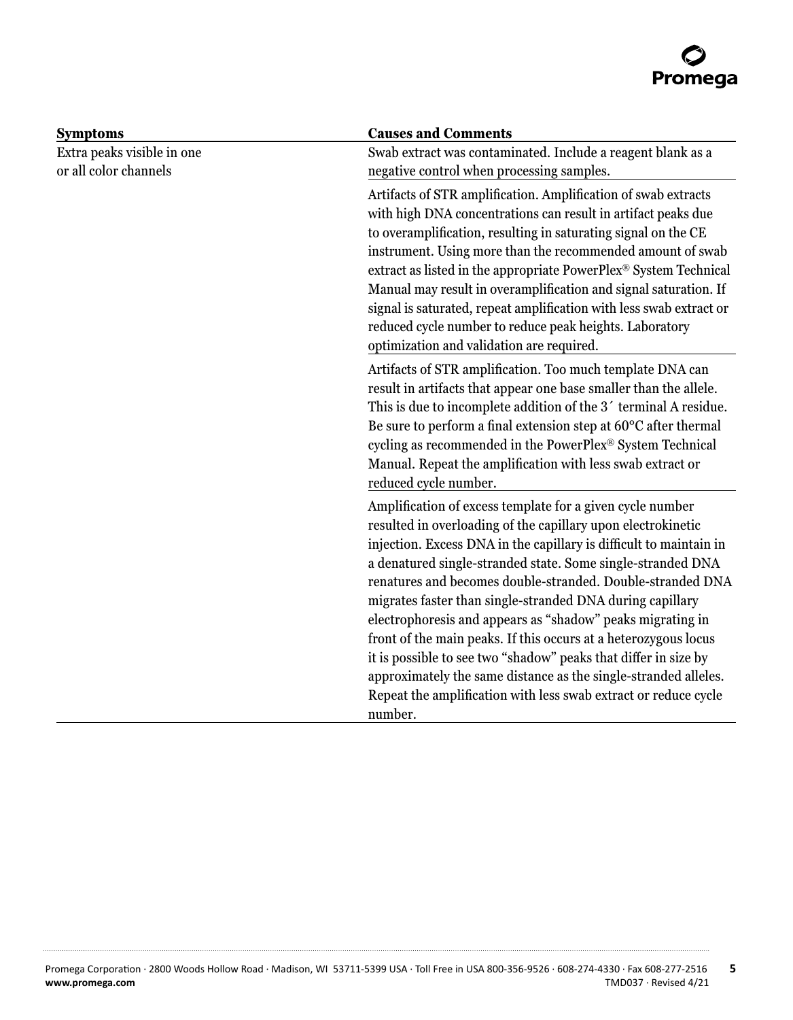

| <b>Symptoms</b>            | <b>Causes and Comments</b>                                                                                                     |
|----------------------------|--------------------------------------------------------------------------------------------------------------------------------|
| Extra peaks visible in one | Swab extract was contaminated. Include a reagent blank as a                                                                    |
| or all color channels      | negative control when processing samples.                                                                                      |
|                            | Artifacts of STR amplification. Amplification of swab extracts                                                                 |
|                            | with high DNA concentrations can result in artifact peaks due                                                                  |
|                            | to overamplification, resulting in saturating signal on the CE                                                                 |
|                            | instrument. Using more than the recommended amount of swab<br>extract as listed in the appropriate PowerPlex® System Technical |
|                            | Manual may result in overamplification and signal saturation. If                                                               |
|                            | signal is saturated, repeat amplification with less swab extract or                                                            |
|                            | reduced cycle number to reduce peak heights. Laboratory<br>optimization and validation are required.                           |
|                            | Artifacts of STR amplification. Too much template DNA can                                                                      |
|                            | result in artifacts that appear one base smaller than the allele.                                                              |
|                            | This is due to incomplete addition of the 3' terminal A residue.                                                               |
|                            | Be sure to perform a final extension step at 60°C after thermal<br>cycling as recommended in the PowerPlex® System Technical   |
|                            | Manual. Repeat the amplification with less swab extract or<br>reduced cycle number.                                            |
|                            |                                                                                                                                |
|                            | Amplification of excess template for a given cycle number<br>resulted in overloading of the capillary upon electrokinetic      |
|                            | injection. Excess DNA in the capillary is difficult to maintain in                                                             |
|                            | a denatured single-stranded state. Some single-stranded DNA                                                                    |
|                            | renatures and becomes double-stranded. Double-stranded DNA                                                                     |
|                            | migrates faster than single-stranded DNA during capillary                                                                      |
|                            | electrophoresis and appears as "shadow" peaks migrating in                                                                     |
|                            | front of the main peaks. If this occurs at a heterozygous locus                                                                |
|                            | it is possible to see two "shadow" peaks that differ in size by                                                                |
|                            | approximately the same distance as the single-stranded alleles.                                                                |
|                            | Repeat the amplification with less swab extract or reduce cycle                                                                |
|                            | number.                                                                                                                        |

. . . . . . . . . .

. . . . . . . . . . .

. . . . . . . . . .

. . . . . . . . . . . . .

. . . . . .

. . . . . . . . . .

. . . . . . . . .

. . . . . . . . . . . .

. . . . . . . . . . . .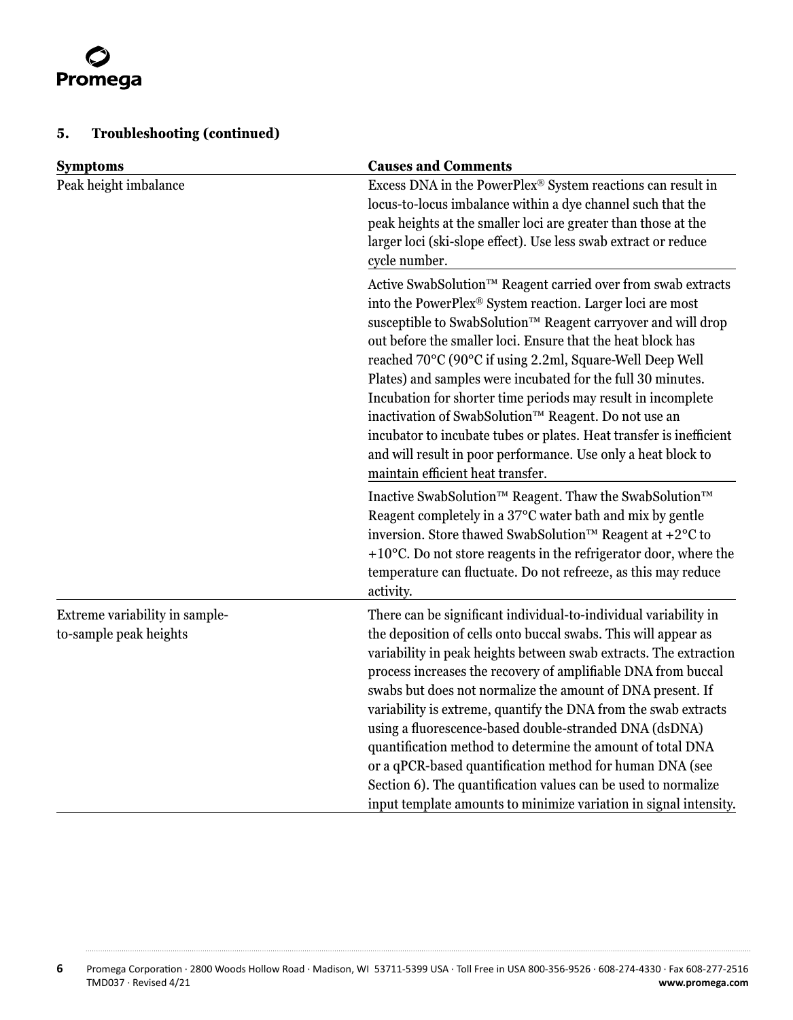# Promega

## **5. Troubleshooting (continued)**

| <b>Symptoms</b>                                          | <b>Causes and Comments</b>                                                                                                                                                                                                                                                                                                                                                                                                                                                                                                                                                                                                                                                                                                           |  |
|----------------------------------------------------------|--------------------------------------------------------------------------------------------------------------------------------------------------------------------------------------------------------------------------------------------------------------------------------------------------------------------------------------------------------------------------------------------------------------------------------------------------------------------------------------------------------------------------------------------------------------------------------------------------------------------------------------------------------------------------------------------------------------------------------------|--|
| Peak height imbalance                                    | Excess DNA in the PowerPlex® System reactions can result in<br>locus-to-locus imbalance within a dye channel such that the<br>peak heights at the smaller loci are greater than those at the<br>larger loci (ski-slope effect). Use less swab extract or reduce<br>cycle number.                                                                                                                                                                                                                                                                                                                                                                                                                                                     |  |
|                                                          | Active SwabSolution™ Reagent carried over from swab extracts<br>into the PowerPlex® System reaction. Larger loci are most<br>susceptible to SwabSolution™ Reagent carryover and will drop<br>out before the smaller loci. Ensure that the heat block has<br>reached 70°C (90°C if using 2.2ml, Square-Well Deep Well<br>Plates) and samples were incubated for the full 30 minutes.<br>Incubation for shorter time periods may result in incomplete<br>inactivation of SwabSolution™ Reagent. Do not use an<br>incubator to incubate tubes or plates. Heat transfer is inefficient<br>and will result in poor performance. Use only a heat block to<br>maintain efficient heat transfer.                                             |  |
|                                                          | Inactive SwabSolution™ Reagent. Thaw the SwabSolution™<br>Reagent completely in a 37°C water bath and mix by gentle<br>inversion. Store thawed SwabSolution <sup>™</sup> Reagent at +2 <sup>o</sup> C to<br>$+10^{\circ}$ C. Do not store reagents in the refrigerator door, where the<br>temperature can fluctuate. Do not refreeze, as this may reduce<br>activity.                                                                                                                                                                                                                                                                                                                                                                |  |
| Extreme variability in sample-<br>to-sample peak heights | There can be significant individual-to-individual variability in<br>the deposition of cells onto buccal swabs. This will appear as<br>variability in peak heights between swab extracts. The extraction<br>process increases the recovery of amplifiable DNA from buccal<br>swabs but does not normalize the amount of DNA present. If<br>variability is extreme, quantify the DNA from the swab extracts<br>using a fluorescence-based double-stranded DNA (dsDNA)<br>quantification method to determine the amount of total DNA<br>or a qPCR-based quantification method for human DNA (see<br>Section 6). The quantification values can be used to normalize<br>input template amounts to minimize variation in signal intensity. |  |

. . . . . . . . .

. . . . . . .

. . . . . . . .

. . . . . . . . . .

. . . . . . . .

. . . . . . . .

. . . . . . . .

. . . . . . . . .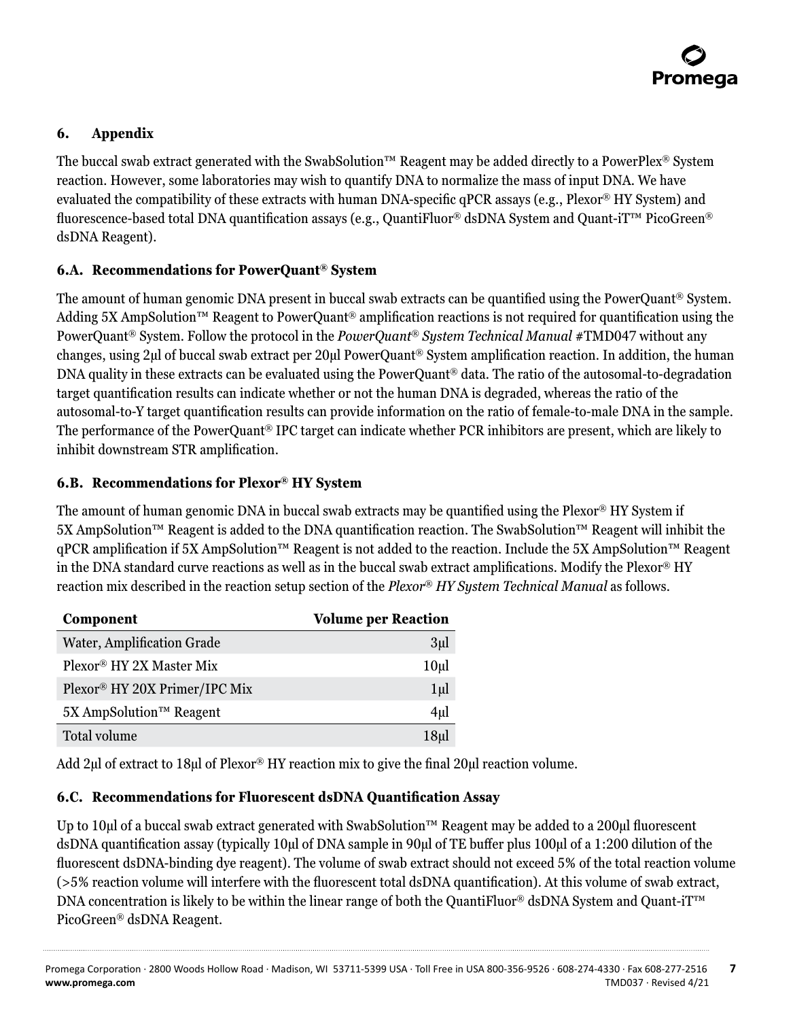

### <span id="page-7-0"></span>**6. Appendix**

The buccal swab extract generated with the SwabSolution™ Reagent may be added directly to a PowerPlex® System reaction. However, some laboratories may wish to quantify DNA to normalize the mass of input DNA. We have evaluated the compatibility of these extracts with human DNA-specific qPCR assays (e.g., Plexor® HY System) and fluorescence-based total DNA quantification assays (e.g., QuantiFluor® dsDNA System and Quant-iT™ PicoGreen® dsDNA Reagent).

#### **6.A. Recommendations for PowerQuant® System**

The amount of human genomic DNA present in buccal swab extracts can be quantified using the PowerQuant® System. Adding 5X AmpSolution™ Reagent to PowerQuant® amplification reactions is not required for quantification using the PowerQuant® System. Follow the protocol in the *PowerQuant® System Technical Manual* #TMD047 without any changes, using 2μl of buccal swab extract per 20μl PowerQuant® System amplification reaction. In addition, the human DNA quality in these extracts can be evaluated using the PowerQuant® data. The ratio of the autosomal-to-degradation target quantification results can indicate whether or not the human DNA is degraded, whereas the ratio of the autosomal-to-Y target quantification results can provide information on the ratio of female-to-male DNA in the sample. The performance of the PowerQuant® IPC target can indicate whether PCR inhibitors are present, which are likely to inhibit downstream STR amplification.

#### **6.B. Recommendations for Plexor® HY System**

The amount of human genomic DNA in buccal swab extracts may be quantified using the Plexor® HY System if 5X AmpSolution™ Reagent is added to the DNA quantification reaction. The SwabSolution™ Reagent will inhibit the qPCR amplification if 5X AmpSolution™ Reagent is not added to the reaction. Include the 5X AmpSolution™ Reagent in the DNA standard curve reactions as well as in the buccal swab extract amplifications. Modify the Plexor® HY reaction mix described in the reaction setup section of the *Plexor*® *HY System Technical Manual* as follows.

| Component                           | <b>Volume per Reaction</b> |
|-------------------------------------|----------------------------|
| Water, Amplification Grade          | 3 <sub>µ</sub>             |
| Plexor® HY 2X Master Mix            | 10 <sub>µ</sub>            |
| Plexor® HY 20X Primer/IPC Mix       | $1\mu$                     |
| 5X AmpSolution <sup>™</sup> Reagent | 4 <sub>µ</sub>             |
| Total volume                        | 18 <sub>µ</sub>            |

Add 2µl of extract to 18µl of Plexor® HY reaction mix to give the final 20µl reaction volume.

#### **6.C. Recommendations for Fluorescent dsDNA Quantification Assay**

Up to 10µl of a buccal swab extract generated with SwabSolution™ Reagent may be added to a 200µl fluorescent dsDNA quantification assay (typically 10µl of DNA sample in 90µl of TE buffer plus 100µl of a 1:200 dilution of the fluorescent dsDNA-binding dye reagent). The volume of swab extract should not exceed 5% of the total reaction volume (>5% reaction volume will interfere with the fluorescent total dsDNA quantification). At this volume of swab extract, DNA concentration is likely to be within the linear range of both the QuantiFluor® dsDNA System and Quant-iT™ PicoGreen® dsDNA Reagent.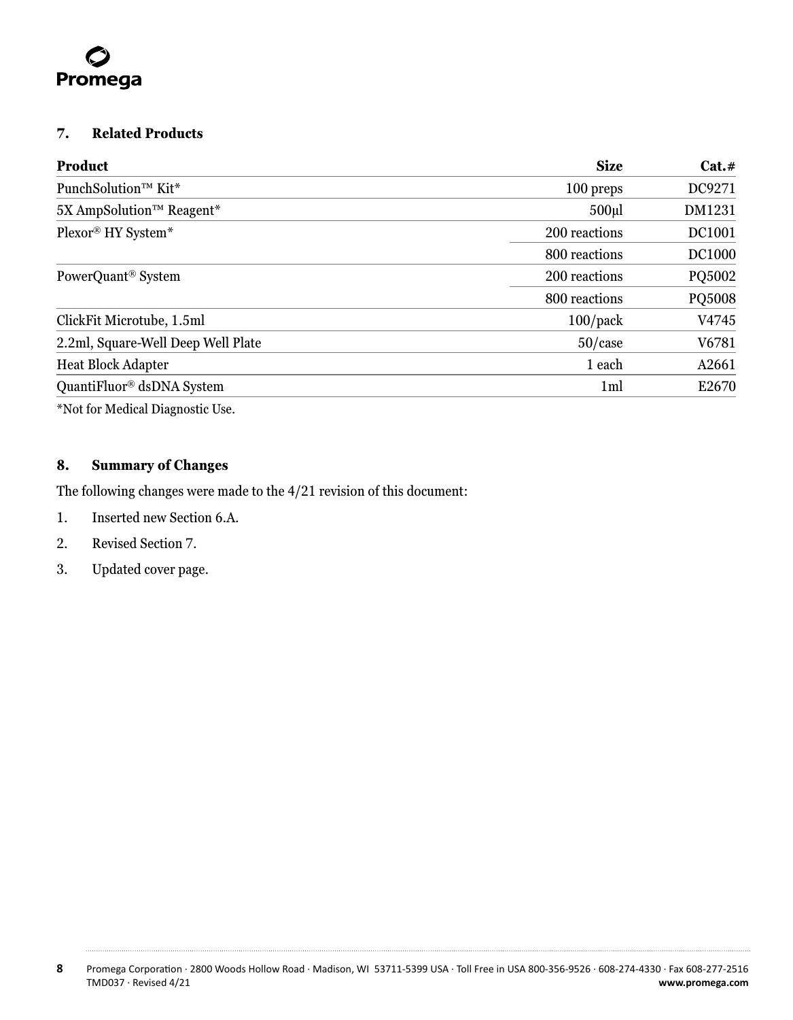<span id="page-8-0"></span>

#### **7. Related Products**

| <b>Product</b>                               | <b>Size</b>    | Cat.#         |
|----------------------------------------------|----------------|---------------|
| PunchSolution <sup>TM</sup> Kit <sup>*</sup> | 100 preps      | DC9271        |
| 5X AmpSolution™ Reagent*                     | $500$ ul       | DM1231        |
| Plexor® HY System*                           | 200 reactions  | DC1001        |
|                                              | 800 reactions  | <b>DC1000</b> |
| PowerQuant <sup>®</sup> System               | 200 reactions  | PQ5002        |
|                                              | 800 reactions  | PQ5008        |
| ClickFit Microtube, 1.5ml                    | $100$ /pack    | V4745         |
| 2.2ml, Square-Well Deep Well Plate           | $50$ /case     | V6781         |
| <b>Heat Block Adapter</b>                    | 1 each         | A2661         |
| QuantiFluor <sup>®</sup> dsDNA System        | 1 <sub>m</sub> | E2670         |

\*Not for Medical Diagnostic Use.

## **8. Summary of Changes**

The following changes were made to the 4/21 revision of this document:

- 1. Inserted new Section 6.A.
- 2. Revised Section 7.
- 3. Updated cover page.

. . . . . . . .

. . . . . . .